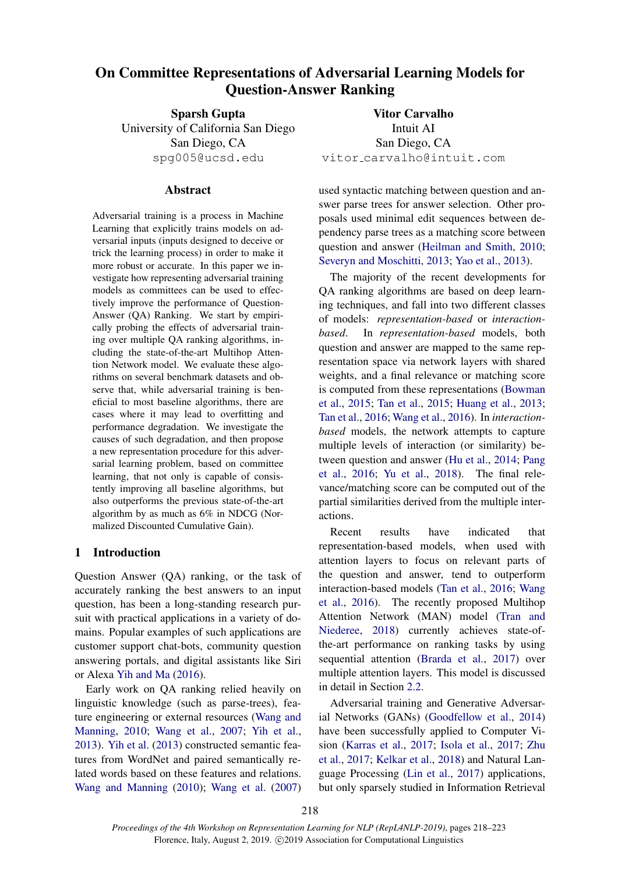# <span id="page-0-0"></span>On Committee Representations of Adversarial Learning Models for Question-Answer Ranking

Sparsh Gupta University of California San Diego San Diego, CA spg005@ucsd.edu

## Abstract

Adversarial training is a process in Machine Learning that explicitly trains models on adversarial inputs (inputs designed to deceive or trick the learning process) in order to make it more robust or accurate. In this paper we investigate how representing adversarial training models as committees can be used to effectively improve the performance of Question-Answer (QA) Ranking. We start by empirically probing the effects of adversarial training over multiple QA ranking algorithms, including the state-of-the-art Multihop Attention Network model. We evaluate these algorithms on several benchmark datasets and observe that, while adversarial training is beneficial to most baseline algorithms, there are cases where it may lead to overfitting and performance degradation. We investigate the causes of such degradation, and then propose a new representation procedure for this adversarial learning problem, based on committee learning, that not only is capable of consistently improving all baseline algorithms, but also outperforms the previous state-of-the-art algorithm by as much as 6% in NDCG (Normalized Discounted Cumulative Gain).

# 1 Introduction

Question Answer (QA) ranking, or the task of accurately ranking the best answers to an input question, has been a long-standing research pursuit with practical applications in a variety of domains. Popular examples of such applications are customer support chat-bots, community question answering portals, and digital assistants like Siri or Alexa [Yih and Ma](#page-5-0) [\(2016\)](#page-5-0).

Early work on QA ranking relied heavily on linguistic knowledge (such as parse-trees), feature engineering or external resources [\(Wang and](#page-5-1) [Manning,](#page-5-1) [2010;](#page-5-1) [Wang et al.,](#page-5-2) [2007;](#page-5-2) [Yih et al.,](#page-5-3) [2013\)](#page-5-3). [Yih et al.](#page-5-3) [\(2013\)](#page-5-3) constructed semantic features from WordNet and paired semantically related words based on these features and relations. [Wang and Manning](#page-5-1) [\(2010\)](#page-5-1); [Wang et al.](#page-5-2) [\(2007\)](#page-5-2)

Vitor Carvalho Intuit AI San Diego, CA vitor carvalho@intuit.com

used syntactic matching between question and answer parse trees for answer selection. Other proposals used minimal edit sequences between dependency parse trees as a matching score between question and answer [\(Heilman and Smith,](#page-4-0) [2010;](#page-4-0) [Severyn and Moschitti,](#page-4-1) [2013;](#page-4-1) [Yao et al.,](#page-5-4) [2013\)](#page-5-4).

The majority of the recent developments for QA ranking algorithms are based on deep learning techniques, and fall into two different classes of models: *representation-based* or *interactionbased*. In *representation-based* models, both question and answer are mapped to the same representation space via network layers with shared weights, and a final relevance or matching score is computed from these representations [\(Bowman](#page-4-2) [et al.,](#page-4-2) [2015;](#page-4-2) [Tan et al.,](#page-4-3) [2015;](#page-4-3) [Huang et al.,](#page-4-4) [2013;](#page-4-4) [Tan et al.,](#page-4-5) [2016;](#page-4-5) [Wang et al.,](#page-5-5) [2016\)](#page-5-5). In *interactionbased* models, the network attempts to capture multiple levels of interaction (or similarity) between question and answer [\(Hu et al.,](#page-4-6) [2014;](#page-4-6) [Pang](#page-4-7) [et al.,](#page-4-7) [2016;](#page-4-7) [Yu et al.,](#page-5-6) [2018\)](#page-5-6). The final relevance/matching score can be computed out of the partial similarities derived from the multiple interactions.

Recent results have indicated that representation-based models, when used with attention layers to focus on relevant parts of the question and answer, tend to outperform interaction-based models [\(Tan et al.,](#page-4-5) [2016;](#page-4-5) [Wang](#page-5-5) [et al.,](#page-5-5) [2016\)](#page-5-5). The recently proposed Multihop Attention Network (MAN) model [\(Tran and](#page-5-7) [Niederee,](#page-5-7) [2018\)](#page-5-7) currently achieves state-ofthe-art performance on ranking tasks by using sequential attention [\(Brarda et al.,](#page-4-8) [2017\)](#page-4-8) over multiple attention layers. This model is discussed in detail in Section [2.2.](#page-1-0)

Adversarial training and Generative Adversarial Networks (GANs) [\(Goodfellow et al.,](#page-4-9) [2014\)](#page-4-9) have been successfully applied to Computer Vision [\(Karras et al.,](#page-4-10) [2017;](#page-4-10) [Isola et al.,](#page-4-11) [2017;](#page-4-11) [Zhu](#page-5-8) [et al.,](#page-5-8) [2017;](#page-5-8) [Kelkar et al.,](#page-4-12) [2018\)](#page-4-12) and Natural Language Processing [\(Lin et al.,](#page-4-13) [2017\)](#page-4-13) applications, but only sparsely studied in Information Retrieval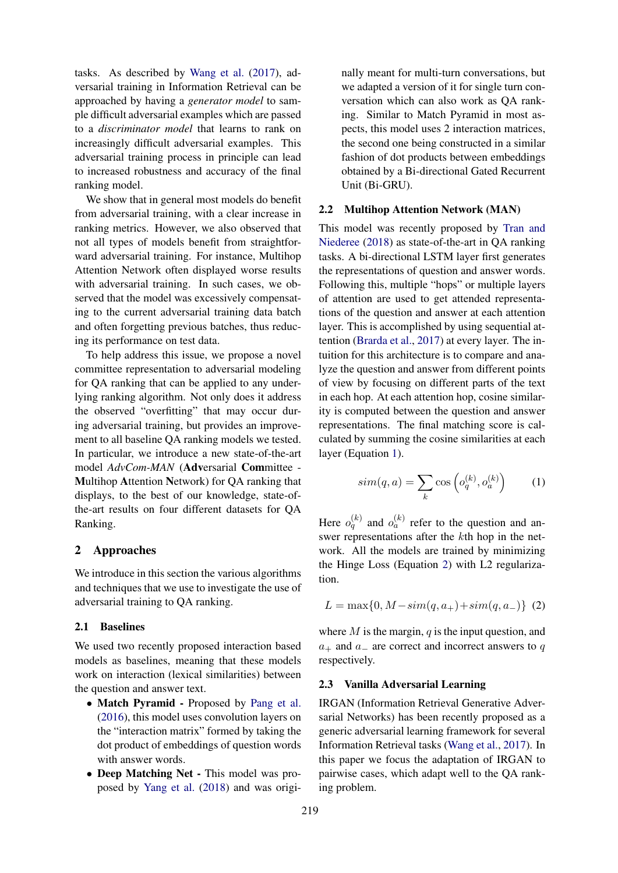tasks. As described by [Wang et al.](#page-5-9) [\(2017\)](#page-5-9), adversarial training in Information Retrieval can be approached by having a *generator model* to sample difficult adversarial examples which are passed to a *discriminator model* that learns to rank on increasingly difficult adversarial examples. This adversarial training process in principle can lead to increased robustness and accuracy of the final ranking model.

We show that in general most models do benefit from adversarial training, with a clear increase in ranking metrics. However, we also observed that not all types of models benefit from straightforward adversarial training. For instance, Multihop Attention Network often displayed worse results with adversarial training. In such cases, we observed that the model was excessively compensating to the current adversarial training data batch and often forgetting previous batches, thus reducing its performance on test data.

To help address this issue, we propose a novel committee representation to adversarial modeling for QA ranking that can be applied to any underlying ranking algorithm. Not only does it address the observed "overfitting" that may occur during adversarial training, but provides an improvement to all baseline QA ranking models we tested. In particular, we introduce a new state-of-the-art model *AdvCom-MAN* (Adversarial Committee - Multihop Attention Network) for QA ranking that displays, to the best of our knowledge, state-ofthe-art results on four different datasets for QA Ranking.

# <span id="page-1-3"></span>2 Approaches

We introduce in this section the various algorithms and techniques that we use to investigate the use of adversarial training to QA ranking.

#### 2.1 Baselines

We used two recently proposed interaction based models as baselines, meaning that these models work on interaction (lexical similarities) between the question and answer text.

- Match Pyramid Proposed by [Pang et al.](#page-4-7) [\(2016\)](#page-4-7), this model uses convolution layers on the "interaction matrix" formed by taking the dot product of embeddings of question words with answer words.
- Deep Matching Net This model was proposed by [Yang et al.](#page-5-10) [\(2018\)](#page-5-10) and was origi-

nally meant for multi-turn conversations, but we adapted a version of it for single turn conversation which can also work as QA ranking. Similar to Match Pyramid in most aspects, this model uses 2 interaction matrices, the second one being constructed in a similar fashion of dot products between embeddings obtained by a Bi-directional Gated Recurrent Unit (Bi-GRU).

## <span id="page-1-0"></span>2.2 Multihop Attention Network (MAN)

This model was recently proposed by [Tran and](#page-5-7) [Niederee](#page-5-7) [\(2018\)](#page-5-7) as state-of-the-art in QA ranking tasks. A bi-directional LSTM layer first generates the representations of question and answer words. Following this, multiple "hops" or multiple layers of attention are used to get attended representations of the question and answer at each attention layer. This is accomplished by using sequential attention [\(Brarda et al.,](#page-4-8) [2017\)](#page-4-8) at every layer. The intuition for this architecture is to compare and analyze the question and answer from different points of view by focusing on different parts of the text in each hop. At each attention hop, cosine similarity is computed between the question and answer representations. The final matching score is calculated by summing the cosine similarities at each layer (Equation [1\)](#page-1-1).

<span id="page-1-1"></span>
$$
sim(q, a) = \sum_{k} \cos\left(o_q^{(k)}, o_a^{(k)}\right) \tag{1}
$$

Here  $o_q^{(k)}$  and  $o_a^{(k)}$  refer to the question and answer representations after the kth hop in the network. All the models are trained by minimizing the Hinge Loss (Equation [2\)](#page-1-2) with L2 regularization.

<span id="page-1-2"></span>
$$
L = \max\{0, M - sim(q, a_+) + sim(q, a_-)\} \tag{2}
$$

where  $M$  is the margin,  $q$  is the input question, and  $a_+$  and  $a_-$  are correct and incorrect answers to q respectively.

#### 2.3 Vanilla Adversarial Learning

IRGAN (Information Retrieval Generative Adversarial Networks) has been recently proposed as a generic adversarial learning framework for several Information Retrieval tasks [\(Wang et al.,](#page-5-9) [2017\)](#page-5-9). In this paper we focus the adaptation of IRGAN to pairwise cases, which adapt well to the QA ranking problem.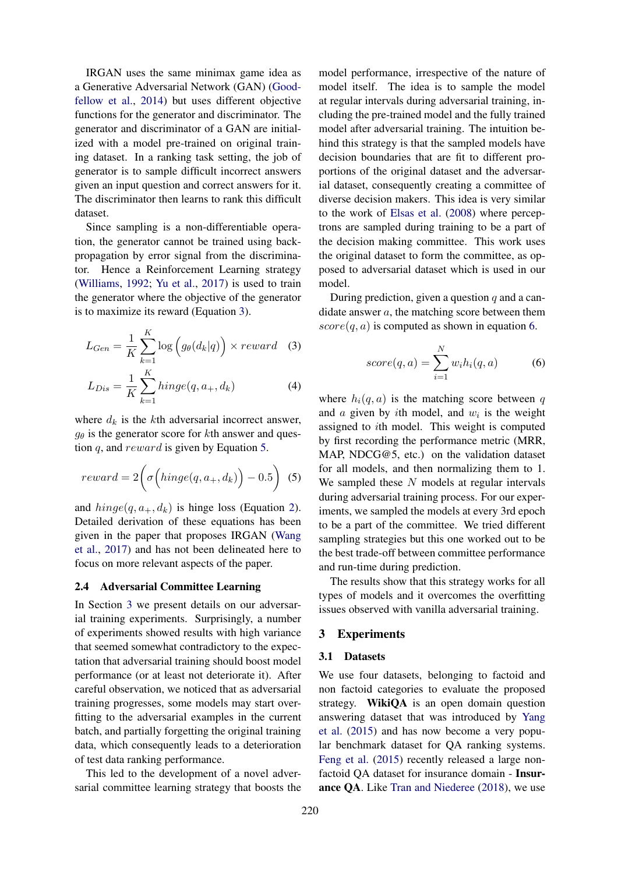IRGAN uses the same minimax game idea as a Generative Adversarial Network (GAN) [\(Good](#page-4-9)[fellow et al.,](#page-4-9) [2014\)](#page-4-9) but uses different objective functions for the generator and discriminator. The generator and discriminator of a GAN are initialized with a model pre-trained on original training dataset. In a ranking task setting, the job of generator is to sample difficult incorrect answers given an input question and correct answers for it. The discriminator then learns to rank this difficult dataset.

Since sampling is a non-differentiable operation, the generator cannot be trained using backpropagation by error signal from the discriminator. Hence a Reinforcement Learning strategy [\(Williams,](#page-5-11) [1992;](#page-5-11) [Yu et al.,](#page-5-12) [2017\)](#page-5-12) is used to train the generator where the objective of the generator is to maximize its reward (Equation [3\)](#page-2-0).

$$
L_{Gen} = \frac{1}{K} \sum_{k=1}^{K} \log \left( g_{\theta}(d_k | q) \right) \times reward \quad (3)
$$

$$
L_{Dis} = \frac{1}{K} \sum_{k=1}^{K} hinge(q, a_{+}, d_{k})
$$
\n(4)

where  $d_k$  is the kth adversarial incorrect answer,  $g_{\theta}$  is the generator score for kth answer and question q, and reward is given by Equation [5.](#page-2-1)

$$
reward = 2\left(\sigma\left(hinge(q, a_{+}, d_{k})\right) - 0.5\right) \tag{5}
$$

and  $hinge(q, a_{+}, d_{k})$  is hinge loss (Equation [2\)](#page-1-2). Detailed derivation of these equations has been given in the paper that proposes IRGAN [\(Wang](#page-5-9) [et al.,](#page-5-9) [2017\)](#page-5-9) and has not been delineated here to focus on more relevant aspects of the paper.

#### 2.4 Adversarial Committee Learning

In Section [3](#page-2-2) we present details on our adversarial training experiments. Surprisingly, a number of experiments showed results with high variance that seemed somewhat contradictory to the expectation that adversarial training should boost model performance (or at least not deteriorate it). After careful observation, we noticed that as adversarial training progresses, some models may start overfitting to the adversarial examples in the current batch, and partially forgetting the original training data, which consequently leads to a deterioration of test data ranking performance.

This led to the development of a novel adversarial committee learning strategy that boosts the

model performance, irrespective of the nature of model itself. The idea is to sample the model at regular intervals during adversarial training, including the pre-trained model and the fully trained model after adversarial training. The intuition behind this strategy is that the sampled models have decision boundaries that are fit to different proportions of the original dataset and the adversarial dataset, consequently creating a committee of diverse decision makers. This idea is very similar to the work of [Elsas et al.](#page-4-14) [\(2008\)](#page-4-14) where perceptrons are sampled during training to be a part of the decision making committee. This work uses the original dataset to form the committee, as opposed to adversarial dataset which is used in our model.

<span id="page-2-0"></span>During prediction, given a question  $q$  and a candidate answer a, the matching score between them  $score(q, a)$  is computed as shown in equation [6.](#page-2-3)

<span id="page-2-3"></span>
$$
score(q, a) = \sum_{i=1}^{N} w_i h_i(q, a)
$$
 (6)

<span id="page-2-1"></span>where  $h_i(q, a)$  is the matching score between q and  $a$  given by ith model, and  $w_i$  is the weight assigned to ith model. This weight is computed by first recording the performance metric (MRR, MAP, NDCG@5, etc.) on the validation dataset for all models, and then normalizing them to 1. We sampled these  $N$  models at regular intervals during adversarial training process. For our experiments, we sampled the models at every 3rd epoch to be a part of the committee. We tried different sampling strategies but this one worked out to be the best trade-off between committee performance and run-time during prediction.

The results show that this strategy works for all types of models and it overcomes the overfitting issues observed with vanilla adversarial training.

#### <span id="page-2-2"></span>3 Experiments

## <span id="page-2-4"></span>3.1 Datasets

We use four datasets, belonging to factoid and non factoid categories to evaluate the proposed strategy. WikiQA is an open domain question answering dataset that was introduced by [Yang](#page-5-13) [et al.](#page-5-13) [\(2015\)](#page-5-13) and has now become a very popular benchmark dataset for QA ranking systems. [Feng et al.](#page-4-15) [\(2015\)](#page-4-15) recently released a large nonfactoid QA dataset for insurance domain - Insurance QA. Like [Tran and Niederee](#page-5-7) [\(2018\)](#page-5-7), we use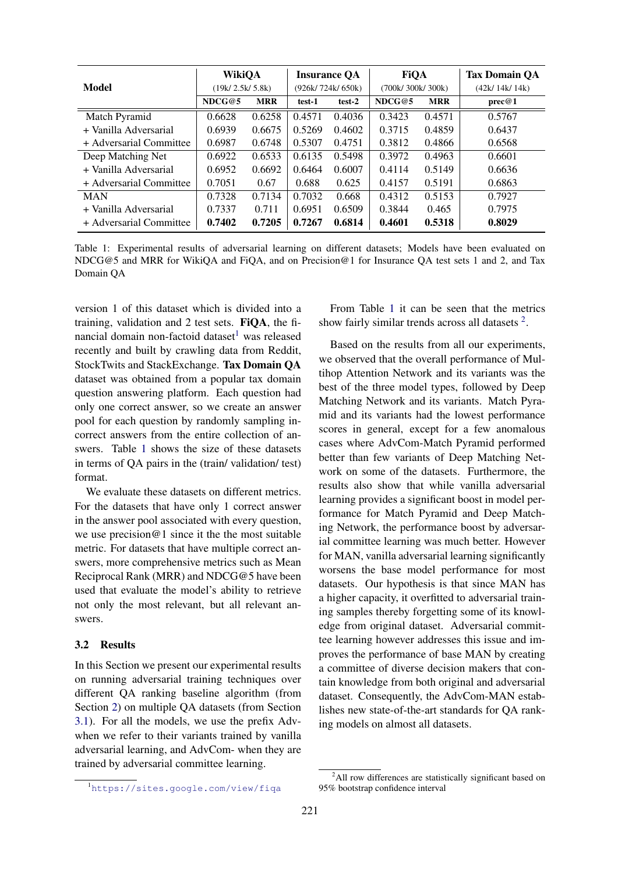<span id="page-3-0"></span>

|                         | <b>WikiQA</b>   |            | <b>Insurance QA</b> |        | <b>FiQA</b>      |            | <b>Tax Domain QA</b> |
|-------------------------|-----------------|------------|---------------------|--------|------------------|------------|----------------------|
| Model                   | (19k/2.5k/5.8k) |            | (926k/724k/650k)    |        | (700k/300k/300k) |            | (42k/14k/14k)        |
|                         | NDCG@5          | <b>MRR</b> | test-1              | test-2 | NDCG@5           | <b>MRR</b> | prec@1               |
| Match Pyramid           | 0.6628          | 0.6258     | 0.4571              | 0.4036 | 0.3423           | 0.4571     | 0.5767               |
| + Vanilla Adversarial   | 0.6939          | 0.6675     | 0.5269              | 0.4602 | 0.3715           | 0.4859     | 0.6437               |
| + Adversarial Committee | 0.6987          | 0.6748     | 0.5307              | 0.4751 | 0.3812           | 0.4866     | 0.6568               |
| Deep Matching Net       | 0.6922          | 0.6533     | 0.6135              | 0.5498 | 0.3972           | 0.4963     | 0.6601               |
| + Vanilla Adversarial   | 0.6952          | 0.6692     | 0.6464              | 0.6007 | 0.4114           | 0.5149     | 0.6636               |
| + Adversarial Committee | 0.7051          | 0.67       | 0.688               | 0.625  | 0.4157           | 0.5191     | 0.6863               |
| <b>MAN</b>              | 0.7328          | 0.7134     | 0.7032              | 0.668  | 0.4312           | 0.5153     | 0.7927               |
| + Vanilla Adversarial   | 0.7337          | 0.711      | 0.6951              | 0.6509 | 0.3844           | 0.465      | 0.7975               |
| + Adversarial Committee | 0.7402          | 0.7205     | 0.7267              | 0.6814 | 0.4601           | 0.5318     | 0.8029               |

Table 1: Experimental results of adversarial learning on different datasets; Models have been evaluated on NDCG@5 and MRR for WikiQA and FiQA, and on Precision@1 for Insurance QA test sets 1 and 2, and Tax Domain QA

version 1 of this dataset which is divided into a training, validation and 2 test sets. FiQA, the financial domain non-factoid dataset $<sup>1</sup>$  $<sup>1</sup>$  $<sup>1</sup>$  was released</sup> recently and built by crawling data from Reddit, StockTwits and StackExchange. Tax Domain QA dataset was obtained from a popular tax domain question answering platform. Each question had only one correct answer, so we create an answer pool for each question by randomly sampling incorrect answers from the entire collection of answers. Table [1](#page-3-0) shows the size of these datasets in terms of QA pairs in the (train/ validation/ test) format.

We evaluate these datasets on different metrics. For the datasets that have only 1 correct answer in the answer pool associated with every question, we use precision  $@1$  since it the the most suitable metric. For datasets that have multiple correct answers, more comprehensive metrics such as Mean Reciprocal Rank (MRR) and NDCG@5 have been used that evaluate the model's ability to retrieve not only the most relevant, but all relevant answers.

# 3.2 Results

In this Section we present our experimental results on running adversarial training techniques over different QA ranking baseline algorithm (from Section [2\)](#page-1-3) on multiple QA datasets (from Section [3.1\)](#page-2-4). For all the models, we use the prefix Advwhen we refer to their variants trained by vanilla adversarial learning, and AdvCom- when they are trained by adversarial committee learning.

From Table [1](#page-3-0) it can be seen that the metrics show fairly similar trends across all datasets<sup>[2](#page-0-0)</sup>.

Based on the results from all our experiments, we observed that the overall performance of Multihop Attention Network and its variants was the best of the three model types, followed by Deep Matching Network and its variants. Match Pyramid and its variants had the lowest performance scores in general, except for a few anomalous cases where AdvCom-Match Pyramid performed better than few variants of Deep Matching Network on some of the datasets. Furthermore, the results also show that while vanilla adversarial learning provides a significant boost in model performance for Match Pyramid and Deep Matching Network, the performance boost by adversarial committee learning was much better. However for MAN, vanilla adversarial learning significantly worsens the base model performance for most datasets. Our hypothesis is that since MAN has a higher capacity, it overfitted to adversarial training samples thereby forgetting some of its knowledge from original dataset. Adversarial committee learning however addresses this issue and improves the performance of base MAN by creating a committee of diverse decision makers that contain knowledge from both original and adversarial dataset. Consequently, the AdvCom-MAN establishes new state-of-the-art standards for QA ranking models on almost all datasets.

<sup>1</sup><https://sites.google.com/view/fiqa>

 $2$ All row differences are statistically significant based on 95% bootstrap confidence interval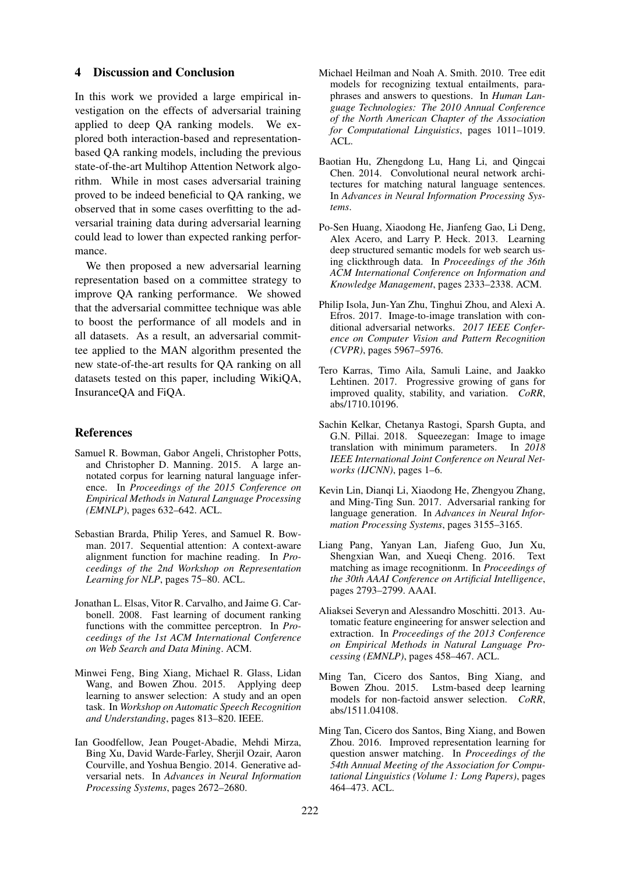# 4 Discussion and Conclusion

In this work we provided a large empirical investigation on the effects of adversarial training applied to deep QA ranking models. We explored both interaction-based and representationbased QA ranking models, including the previous state-of-the-art Multihop Attention Network algorithm. While in most cases adversarial training proved to be indeed beneficial to QA ranking, we observed that in some cases overfitting to the adversarial training data during adversarial learning could lead to lower than expected ranking performance.

We then proposed a new adversarial learning representation based on a committee strategy to improve QA ranking performance. We showed that the adversarial committee technique was able to boost the performance of all models and in all datasets. As a result, an adversarial committee applied to the MAN algorithm presented the new state-of-the-art results for QA ranking on all datasets tested on this paper, including WikiQA, InsuranceQA and FiQA.

#### References

- <span id="page-4-2"></span>Samuel R. Bowman, Gabor Angeli, Christopher Potts, and Christopher D. Manning. 2015. A large annotated corpus for learning natural language inference. In *Proceedings of the 2015 Conference on Empirical Methods in Natural Language Processing (EMNLP)*, pages 632–642. ACL.
- <span id="page-4-8"></span>Sebastian Brarda, Philip Yeres, and Samuel R. Bowman. 2017. Sequential attention: A context-aware alignment function for machine reading. In *Proceedings of the 2nd Workshop on Representation Learning for NLP*, pages 75–80. ACL.
- <span id="page-4-14"></span>Jonathan L. Elsas, Vitor R. Carvalho, and Jaime G. Carbonell. 2008. Fast learning of document ranking functions with the committee perceptron. In *Proceedings of the 1st ACM International Conference on Web Search and Data Mining*. ACM.
- <span id="page-4-15"></span>Minwei Feng, Bing Xiang, Michael R. Glass, Lidan Wang, and Bowen Zhou. 2015. Applying deep learning to answer selection: A study and an open task. In *Workshop on Automatic Speech Recognition and Understanding*, pages 813–820. IEEE.
- <span id="page-4-9"></span>Ian Goodfellow, Jean Pouget-Abadie, Mehdi Mirza, Bing Xu, David Warde-Farley, Sherjil Ozair, Aaron Courville, and Yoshua Bengio. 2014. Generative adversarial nets. In *Advances in Neural Information Processing Systems*, pages 2672–2680.
- <span id="page-4-0"></span>Michael Heilman and Noah A. Smith. 2010. Tree edit models for recognizing textual entailments, paraphrases and answers to questions. In *Human Language Technologies: The 2010 Annual Conference of the North American Chapter of the Association for Computational Linguistics*, pages 1011–1019. ACL.
- <span id="page-4-6"></span>Baotian Hu, Zhengdong Lu, Hang Li, and Qingcai Chen. 2014. Convolutional neural network architectures for matching natural language sentences. In *Advances in Neural Information Processing Systems*.
- <span id="page-4-4"></span>Po-Sen Huang, Xiaodong He, Jianfeng Gao, Li Deng, Alex Acero, and Larry P. Heck. 2013. Learning deep structured semantic models for web search using clickthrough data. In *Proceedings of the 36th ACM International Conference on Information and Knowledge Management*, pages 2333–2338. ACM.
- <span id="page-4-11"></span>Philip Isola, Jun-Yan Zhu, Tinghui Zhou, and Alexi A. Efros. 2017. Image-to-image translation with conditional adversarial networks. *2017 IEEE Conference on Computer Vision and Pattern Recognition (CVPR)*, pages 5967–5976.
- <span id="page-4-10"></span>Tero Karras, Timo Aila, Samuli Laine, and Jaakko Lehtinen. 2017. Progressive growing of gans for improved quality, stability, and variation. *CoRR*, abs/1710.10196.
- <span id="page-4-12"></span>Sachin Kelkar, Chetanya Rastogi, Sparsh Gupta, and G.N. Pillai. 2018. Squeezegan: Image to image translation with minimum parameters. In *2018 IEEE International Joint Conference on Neural Networks (IJCNN)*, pages 1–6.
- <span id="page-4-13"></span>Kevin Lin, Dianqi Li, Xiaodong He, Zhengyou Zhang, and Ming-Ting Sun. 2017. Adversarial ranking for language generation. In *Advances in Neural Information Processing Systems*, pages 3155–3165.
- <span id="page-4-7"></span>Liang Pang, Yanyan Lan, Jiafeng Guo, Jun Xu, Shengxian Wan, and Xueqi Cheng. 2016. Text matching as image recognitionm. In *Proceedings of the 30th AAAI Conference on Artificial Intelligence*, pages 2793–2799. AAAI.
- <span id="page-4-1"></span>Aliaksei Severyn and Alessandro Moschitti. 2013. Automatic feature engineering for answer selection and extraction. In *Proceedings of the 2013 Conference on Empirical Methods in Natural Language Processing (EMNLP)*, pages 458–467. ACL.
- <span id="page-4-3"></span>Ming Tan, Cicero dos Santos, Bing Xiang, and Bowen Zhou. 2015. Lstm-based deep learning models for non-factoid answer selection. *CoRR*, abs/1511.04108.
- <span id="page-4-5"></span>Ming Tan, Cicero dos Santos, Bing Xiang, and Bowen Zhou. 2016. Improved representation learning for question answer matching. In *Proceedings of the 54th Annual Meeting of the Association for Computational Linguistics (Volume 1: Long Papers)*, pages 464–473. ACL.